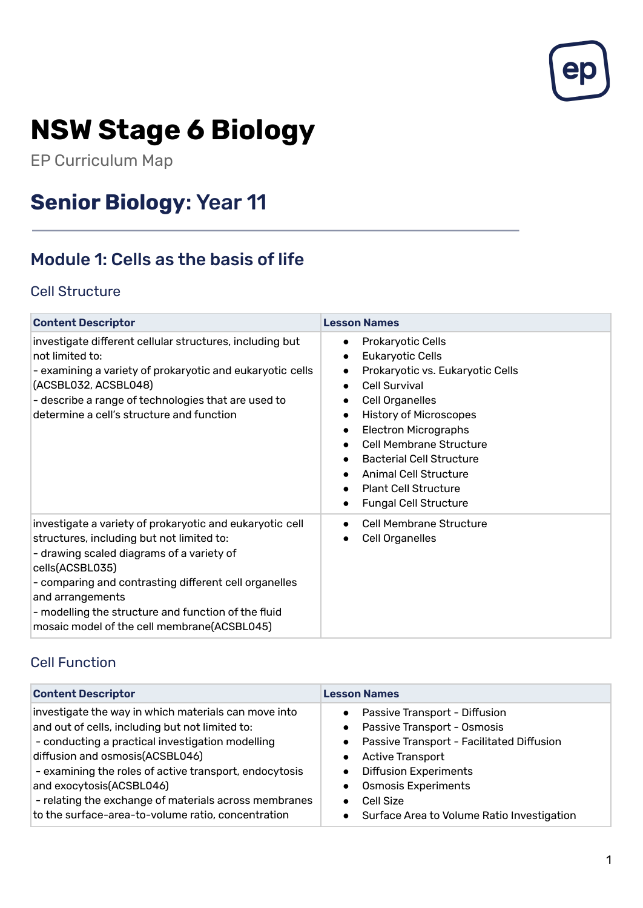

# **NSW Stage 6 Biology**

EP Curriculum Map

# **Senior Biology**: Year 11

# Module 1: Cells as the basis of life

#### Cell Structure

| <b>Content Descriptor</b>                                                                                                                                                                                                                                                                                                                                | <b>Lesson Names</b>                                                                                                                                                                                                                                                                                                                                                                                                                                                                  |
|----------------------------------------------------------------------------------------------------------------------------------------------------------------------------------------------------------------------------------------------------------------------------------------------------------------------------------------------------------|--------------------------------------------------------------------------------------------------------------------------------------------------------------------------------------------------------------------------------------------------------------------------------------------------------------------------------------------------------------------------------------------------------------------------------------------------------------------------------------|
| investigate different cellular structures, including but<br>not limited to:<br>- examining a variety of prokaryotic and eukaryotic cells<br>(ACSBL032, ACSBL048)<br>- describe a range of technologies that are used to<br>determine a cell's structure and function                                                                                     | <b>Prokaryotic Cells</b><br>$\bullet$<br>Eukaryotic Cells<br>$\bullet$<br>Prokaryotic vs. Eukaryotic Cells<br>$\bullet$<br>Cell Survival<br>$\bullet$<br><b>Cell Organelles</b><br>$\bullet$<br><b>History of Microscopes</b><br>$\bullet$<br><b>Electron Micrographs</b><br>$\bullet$<br><b>Cell Membrane Structure</b><br><b>Bacterial Cell Structure</b><br><b>Animal Cell Structure</b><br><b>Plant Cell Structure</b><br>$\bullet$<br><b>Fungal Cell Structure</b><br>$\bullet$ |
| investigate a variety of prokaryotic and eukaryotic cell<br>structures, including but not limited to:<br>- drawing scaled diagrams of a variety of<br>cells(ACSBL035)<br>- comparing and contrasting different cell organelles<br>and arrangements<br>- modelling the structure and function of the fluid<br>mosaic model of the cell membrane(ACSBL045) | <b>Cell Membrane Structure</b><br>$\bullet$<br><b>Cell Organelles</b><br>$\bullet$                                                                                                                                                                                                                                                                                                                                                                                                   |

#### Cell Function

| <b>Content Descriptor</b>                                                                                                                                                                                                                                                                                                                                                                           | <b>Lesson Names</b>                                                                                                                                                                                                                                                            |
|-----------------------------------------------------------------------------------------------------------------------------------------------------------------------------------------------------------------------------------------------------------------------------------------------------------------------------------------------------------------------------------------------------|--------------------------------------------------------------------------------------------------------------------------------------------------------------------------------------------------------------------------------------------------------------------------------|
| investigate the way in which materials can move into<br>and out of cells, including but not limited to:<br>- conducting a practical investigation modelling<br>diffusion and osmosis(ACSBL046)<br>- examining the roles of active transport, endocytosis<br>and exocytosis(ACSBL046)<br>- relating the exchange of materials across membranes<br>to the surface-area-to-volume ratio, concentration | Passive Transport - Diffusion<br>$\bullet$<br>• Passive Transport - Osmosis<br>• Passive Transport - Facilitated Diffusion<br><b>Active Transport</b><br><b>Diffusion Experiments</b><br><b>Osmosis Experiments</b><br>Cell Size<br>Surface Area to Volume Ratio Investigation |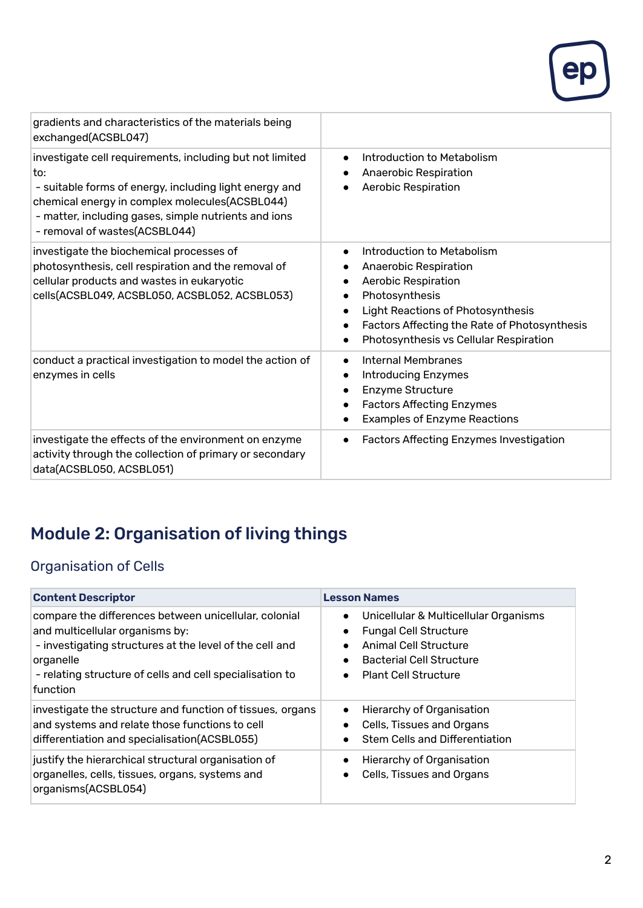

| gradients and characteristics of the materials being<br>exchanged(ACSBL047)                                                                                                                                                                                          |                                                                                                                                                                                                                                                                           |
|----------------------------------------------------------------------------------------------------------------------------------------------------------------------------------------------------------------------------------------------------------------------|---------------------------------------------------------------------------------------------------------------------------------------------------------------------------------------------------------------------------------------------------------------------------|
| investigate cell requirements, including but not limited<br>to:<br>- suitable forms of energy, including light energy and<br>chemical energy in complex molecules(ACSBL044)<br>- matter, including gases, simple nutrients and ions<br>- removal of wastes(ACSBL044) | Introduction to Metabolism<br>$\bullet$<br>Anaerobic Respiration<br>Aerobic Respiration                                                                                                                                                                                   |
| investigate the biochemical processes of<br>photosynthesis, cell respiration and the removal of<br>cellular products and wastes in eukaryotic<br>cells(ACSBL049, ACSBL050, ACSBL052, ACSBL053)                                                                       | Introduction to Metabolism<br>$\bullet$<br>Anaerobic Respiration<br>Aerobic Respiration<br>Photosynthesis<br><b>Light Reactions of Photosynthesis</b><br>$\bullet$<br>Factors Affecting the Rate of Photosynthesis<br>$\bullet$<br>Photosynthesis vs Cellular Respiration |
| conduct a practical investigation to model the action of<br>enzymes in cells                                                                                                                                                                                         | <b>Internal Membranes</b><br>$\bullet$<br><b>Introducing Enzymes</b><br>$\bullet$<br>Enzyme Structure<br><b>Factors Affecting Enzymes</b><br>$\bullet$<br><b>Examples of Enzyme Reactions</b>                                                                             |
| investigate the effects of the environment on enzyme<br>activity through the collection of primary or secondary<br>data(ACSBL050, ACSBL051)                                                                                                                          | Factors Affecting Enzymes Investigation<br>$\bullet$                                                                                                                                                                                                                      |

# Module 2: Organisation of living things

# Organisation of Cells

| <b>Content Descriptor</b>                                                                                                                                                                                                                | <b>Lesson Names</b>                                                                                                                                                                                     |
|------------------------------------------------------------------------------------------------------------------------------------------------------------------------------------------------------------------------------------------|---------------------------------------------------------------------------------------------------------------------------------------------------------------------------------------------------------|
| compare the differences between unicellular, colonial<br>and multicellular organisms by:<br>- investigating structures at the level of the cell and<br>organelle<br>- relating structure of cells and cell specialisation to<br>function | Unicellular & Multicellular Organisms<br>$\bullet$<br><b>Fungal Cell Structure</b><br>Animal Cell Structure<br>$\bullet$<br><b>Bacterial Cell Structure</b><br><b>Plant Cell Structure</b><br>$\bullet$ |
| investigate the structure and function of tissues, organs<br>and systems and relate those functions to cell<br>differentiation and specialisation(ACSBL055)                                                                              | Hierarchy of Organisation<br>Cells, Tissues and Organs<br><b>Stem Cells and Differentiation</b>                                                                                                         |
| justify the hierarchical structural organisation of<br>organelles, cells, tissues, organs, systems and<br>organisms(ACSBL054)                                                                                                            | Hierarchy of Organisation<br>Cells, Tissues and Organs                                                                                                                                                  |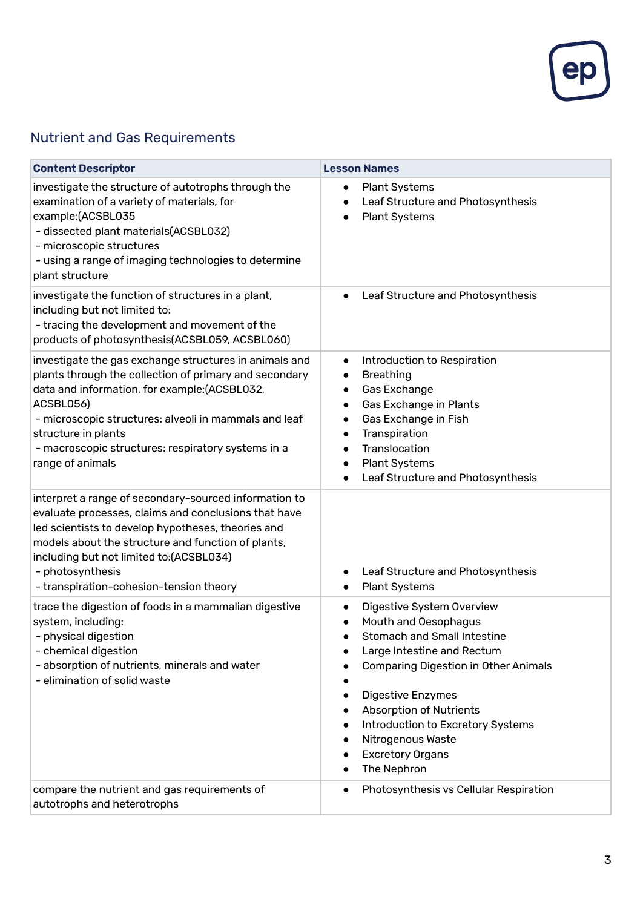

#### Nutrient and Gas Requirements

| <b>Content Descriptor</b>                                                                                                                                                                                                                                                                                                               | <b>Lesson Names</b>                                                                                                                                                                                                                                                                                                                                       |
|-----------------------------------------------------------------------------------------------------------------------------------------------------------------------------------------------------------------------------------------------------------------------------------------------------------------------------------------|-----------------------------------------------------------------------------------------------------------------------------------------------------------------------------------------------------------------------------------------------------------------------------------------------------------------------------------------------------------|
| investigate the structure of autotrophs through the<br>examination of a variety of materials, for<br>example:(ACSBL035<br>- dissected plant materials(ACSBL032)<br>- microscopic structures<br>- using a range of imaging technologies to determine<br>plant structure                                                                  | <b>Plant Systems</b><br>$\bullet$<br>Leaf Structure and Photosynthesis<br>$\bullet$<br><b>Plant Systems</b><br>$\bullet$                                                                                                                                                                                                                                  |
| investigate the function of structures in a plant,<br>including but not limited to:<br>- tracing the development and movement of the<br>products of photosynthesis(ACSBL059, ACSBL060)                                                                                                                                                  | Leaf Structure and Photosynthesis<br>$\bullet$                                                                                                                                                                                                                                                                                                            |
| investigate the gas exchange structures in animals and<br>plants through the collection of primary and secondary<br>data and information, for example:(ACSBL032,<br>ACSBL056)<br>- microscopic structures: alveoli in mammals and leaf<br>structure in plants<br>- macroscopic structures: respiratory systems in a<br>range of animals | Introduction to Respiration<br>٠<br><b>Breathing</b><br>$\bullet$<br>Gas Exchange<br>$\bullet$<br>Gas Exchange in Plants<br>$\bullet$<br>Gas Exchange in Fish<br>$\bullet$<br>Transpiration<br>$\bullet$<br>Translocation<br>$\bullet$<br><b>Plant Systems</b><br>Leaf Structure and Photosynthesis<br>$\bullet$                                          |
| interpret a range of secondary-sourced information to<br>evaluate processes, claims and conclusions that have<br>led scientists to develop hypotheses, theories and<br>models about the structure and function of plants,<br>including but not limited to:(ACSBL034)<br>- photosynthesis<br>- transpiration-cohesion-tension theory     | Leaf Structure and Photosynthesis<br>$\bullet$<br><b>Plant Systems</b><br>$\bullet$                                                                                                                                                                                                                                                                       |
| trace the digestion of foods in a mammalian digestive<br>system, including:<br>- physical digestion<br>- chemical digestion<br>- absorption of nutrients, minerals and water<br>- elimination of solid waste                                                                                                                            | Digestive System Overview<br>$\bullet$<br>Mouth and Oesophagus<br><b>Stomach and Small Intestine</b><br>Large Intestine and Rectum<br><b>Comparing Digestion in Other Animals</b><br>Digestive Enzymes<br>$\bullet$<br><b>Absorption of Nutrients</b><br>Introduction to Excretory Systems<br>Nitrogenous Waste<br><b>Excretory Organs</b><br>The Nephron |
| compare the nutrient and gas requirements of<br>autotrophs and heterotrophs                                                                                                                                                                                                                                                             | Photosynthesis vs Cellular Respiration<br>$\bullet$                                                                                                                                                                                                                                                                                                       |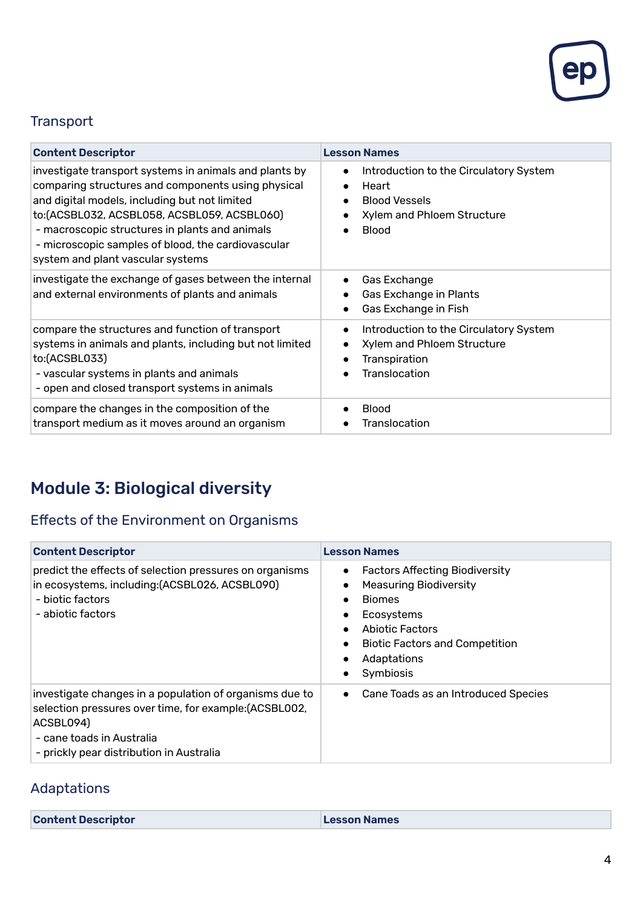

#### **Transport**

| <b>Content Descriptor</b>                                                                                                                                                                                                                                                                                                                                  | <b>Lesson Names</b>                                                                                                                |
|------------------------------------------------------------------------------------------------------------------------------------------------------------------------------------------------------------------------------------------------------------------------------------------------------------------------------------------------------------|------------------------------------------------------------------------------------------------------------------------------------|
| investigate transport systems in animals and plants by<br>comparing structures and components using physical<br>and digital models, including but not limited<br>to: (ACSBL032, ACSBL058, ACSBL059, ACSBL060)<br>- macroscopic structures in plants and animals<br>- microscopic samples of blood, the cardiovascular<br>system and plant vascular systems | Introduction to the Circulatory System<br>$\bullet$<br>Heart<br><b>Blood Vessels</b><br>Xylem and Phloem Structure<br><b>Blood</b> |
| investigate the exchange of gases between the internal<br>and external environments of plants and animals                                                                                                                                                                                                                                                  | Gas Exchange<br>$\bullet$<br>Gas Exchange in Plants<br>Gas Exchange in Fish<br>$\bullet$                                           |
| compare the structures and function of transport<br>systems in animals and plants, including but not limited<br>to:(ACSBL033)<br>- vascular systems in plants and animals<br>- open and closed transport systems in animals                                                                                                                                | Introduction to the Circulatory System<br>$\bullet$<br>Xylem and Phloem Structure<br>Transpiration<br>$\bullet$<br>Translocation   |
| compare the changes in the composition of the<br>transport medium as it moves around an organism                                                                                                                                                                                                                                                           | <b>Blood</b><br>Translocation                                                                                                      |

# Module 3: Biological diversity

# Effects of the Environment on Organisms

| <b>Content Descriptor</b>                                                                                                                                                                               | <b>Lesson Names</b>                                                                                                                                                                                                                  |
|---------------------------------------------------------------------------------------------------------------------------------------------------------------------------------------------------------|--------------------------------------------------------------------------------------------------------------------------------------------------------------------------------------------------------------------------------------|
| predict the effects of selection pressures on organisms<br>in ecosystems, including: (ACSBL026, ACSBL090)<br>- biotic factors<br>- abiotic factors                                                      | <b>Factors Affecting Biodiversity</b><br>$\bullet$<br><b>Measuring Biodiversity</b><br>$\bullet$<br><b>Biomes</b><br>$\bullet$<br>Ecosystems<br>Abiotic Factors<br><b>Biotic Factors and Competition</b><br>Adaptations<br>Symbiosis |
| investigate changes in a population of organisms due to<br>selection pressures over time, for example: (ACSBL002,<br>ACSBL094)<br>- cane toads in Australia<br>- prickly pear distribution in Australia | Cane Toads as an Introduced Species<br>$\bullet$                                                                                                                                                                                     |

# Adaptations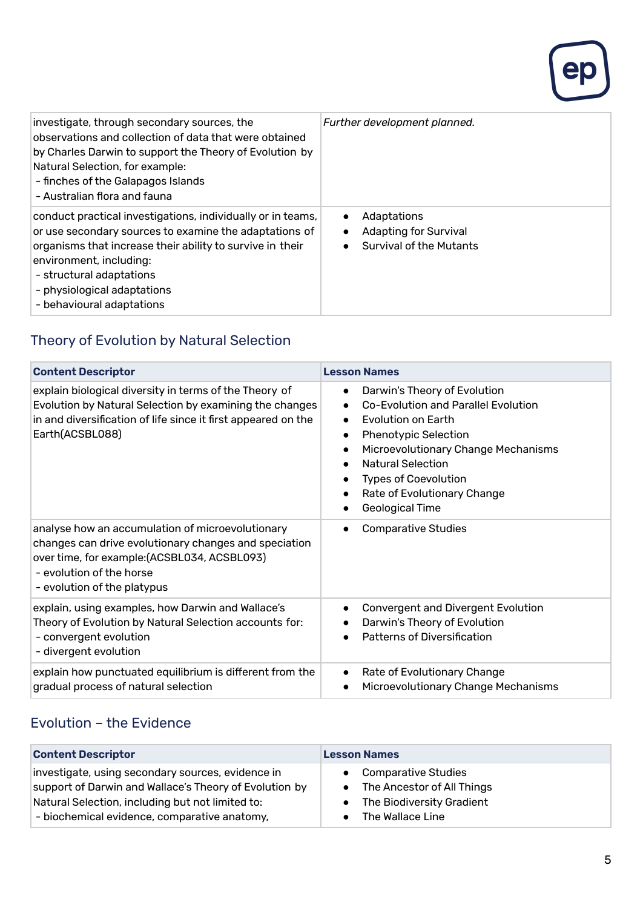

| investigate, through secondary sources, the<br>observations and collection of data that were obtained<br>by Charles Darwin to support the Theory of Evolution by<br>Natural Selection, for example:<br>- finches of the Galapagos Islands<br>- Australian flora and fauna                             | Further development planned.                                                                            |
|-------------------------------------------------------------------------------------------------------------------------------------------------------------------------------------------------------------------------------------------------------------------------------------------------------|---------------------------------------------------------------------------------------------------------|
| conduct practical investigations, individually or in teams,<br>or use secondary sources to examine the adaptations of<br>organisms that increase their ability to survive in their<br>environment, including:<br>- structural adaptations<br>- physiological adaptations<br>- behavioural adaptations | Adaptations<br>$\bullet$<br><b>Adapting for Survival</b><br>$\bullet$<br><b>Survival of the Mutants</b> |

# Theory of Evolution by Natural Selection

| <b>Content Descriptor</b>                                                                                                                                                                                            | <b>Lesson Names</b>                                                                                                                                                                                                                                                                                                                     |
|----------------------------------------------------------------------------------------------------------------------------------------------------------------------------------------------------------------------|-----------------------------------------------------------------------------------------------------------------------------------------------------------------------------------------------------------------------------------------------------------------------------------------------------------------------------------------|
| explain biological diversity in terms of the Theory of<br>Evolution by Natural Selection by examining the changes<br>in and diversification of life since it first appeared on the<br>Earth(ACSBL088)                | Darwin's Theory of Evolution<br>$\bullet$<br>Co-Evolution and Parallel Evolution<br>Evolution on Earth<br>$\bullet$<br><b>Phenotypic Selection</b><br>$\bullet$<br>Microevolutionary Change Mechanisms<br>$\bullet$<br><b>Natural Selection</b><br><b>Types of Coevolution</b><br>Rate of Evolutionary Change<br><b>Geological Time</b> |
| analyse how an accumulation of microevolutionary<br>changes can drive evolutionary changes and speciation<br>over time, for example: (ACSBL034, ACSBL093)<br>- evolution of the horse<br>- evolution of the platypus | <b>Comparative Studies</b>                                                                                                                                                                                                                                                                                                              |
| explain, using examples, how Darwin and Wallace's<br>Theory of Evolution by Natural Selection accounts for:<br>- convergent evolution<br>- divergent evolution                                                       | <b>Convergent and Divergent Evolution</b><br>$\bullet$<br>Darwin's Theory of Evolution<br><b>Patterns of Diversification</b>                                                                                                                                                                                                            |
| explain how punctuated equilibrium is different from the<br>gradual process of natural selection                                                                                                                     | Rate of Evolutionary Change<br>$\bullet$<br>Microevolutionary Change Mechanisms<br>$\bullet$                                                                                                                                                                                                                                            |

#### Evolution – the Evidence

| <b>Content Descriptor</b>                              | <b>Lesson Names</b>                     |
|--------------------------------------------------------|-----------------------------------------|
| investigate, using secondary sources, evidence in      | <b>Comparative Studies</b>              |
| support of Darwin and Wallace's Theory of Evolution by | The Ancestor of All Things<br>$\bullet$ |
| Natural Selection, including but not limited to:       | The Biodiversity Gradient               |
| - biochemical evidence, comparative anatomy,           | The Wallace Line                        |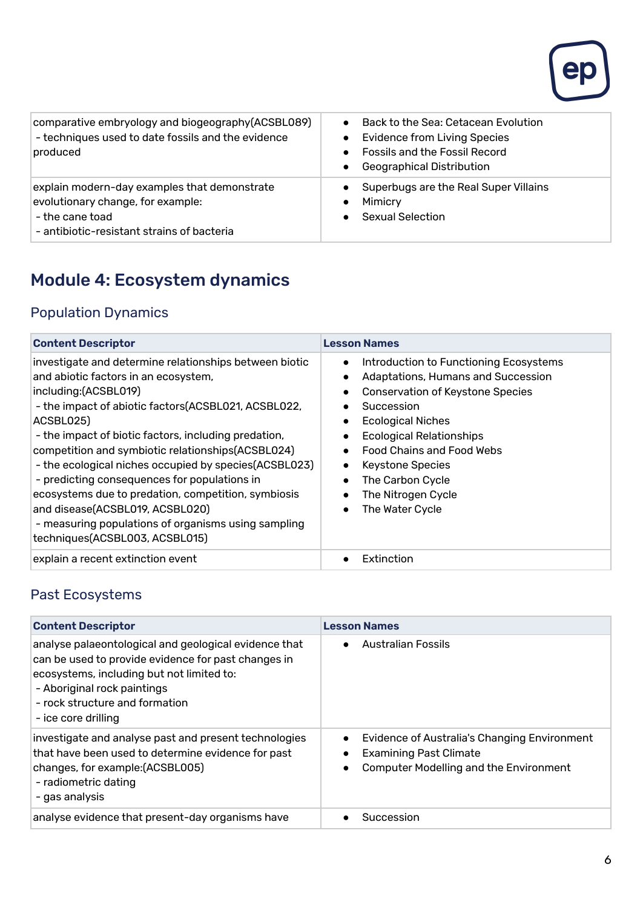

| comparative embryology and biogeography(ACSBL089)<br>- techniques used to date fossils and the evidence<br>produced                                | Back to the Sea: Cetacean Evolution<br><b>Evidence from Living Species</b><br><b>Fossils and the Fossil Record</b><br><b>Geographical Distribution</b> |
|----------------------------------------------------------------------------------------------------------------------------------------------------|--------------------------------------------------------------------------------------------------------------------------------------------------------|
| explain modern-day examples that demonstrate<br>evolutionary change, for example:<br>- the cane toad<br>- antibiotic-resistant strains of bacteria | Superbugs are the Real Super Villains<br>Mimicry<br><b>Sexual Selection</b>                                                                            |

# Module 4: Ecosystem dynamics

#### Population Dynamics

| <b>Content Descriptor</b>                                                                                                                                                                                                                                                                                                                                                                                                                                                                                                                                                                            | <b>Lesson Names</b>                                                                                                                                                                                                                                                                                                                                 |
|------------------------------------------------------------------------------------------------------------------------------------------------------------------------------------------------------------------------------------------------------------------------------------------------------------------------------------------------------------------------------------------------------------------------------------------------------------------------------------------------------------------------------------------------------------------------------------------------------|-----------------------------------------------------------------------------------------------------------------------------------------------------------------------------------------------------------------------------------------------------------------------------------------------------------------------------------------------------|
| investigate and determine relationships between biotic<br>and abiotic factors in an ecosystem,<br>including:(ACSBL019)<br>- the impact of abiotic factors(ACSBL021, ACSBL022,<br>ACSBL025)<br>- the impact of biotic factors, including predation,<br>competition and symbiotic relationships(ACSBL024)<br>- the ecological niches occupied by species (ACSBL023)<br>- predicting consequences for populations in<br>ecosystems due to predation, competition, symbiosis<br>and disease(ACSBL019, ACSBL020)<br>- measuring populations of organisms using sampling<br>techniques(ACSBL003, ACSBL015) | Introduction to Functioning Ecosystems<br>$\bullet$<br>Adaptations, Humans and Succession<br><b>Conservation of Keystone Species</b><br>Succession<br><b>Ecological Niches</b><br><b>Ecological Relationships</b><br>Food Chains and Food Webs<br><b>Keystone Species</b><br>$\bullet$<br>The Carbon Cycle<br>The Nitrogen Cycle<br>The Water Cycle |
| explain a recent extinction event                                                                                                                                                                                                                                                                                                                                                                                                                                                                                                                                                                    | Extinction                                                                                                                                                                                                                                                                                                                                          |

#### Past Ecosystems

| <b>Content Descriptor</b>                                                                                                                                                                                                                         | <b>Lesson Names</b>                                                                                                                                                   |
|---------------------------------------------------------------------------------------------------------------------------------------------------------------------------------------------------------------------------------------------------|-----------------------------------------------------------------------------------------------------------------------------------------------------------------------|
| analyse palaeontological and geological evidence that<br>can be used to provide evidence for past changes in<br>ecosystems, including but not limited to:<br>- Aboriginal rock paintings<br>- rock structure and formation<br>- ice core drilling | Australian Fossils<br>$\bullet$                                                                                                                                       |
| investigate and analyse past and present technologies<br>that have been used to determine evidence for past<br>changes, for example:(ACSBL005)<br>- radiometric dating<br>- gas analysis                                                          | Evidence of Australia's Changing Environment<br>$\bullet$<br><b>Examining Past Climate</b><br>$\bullet$<br><b>Computer Modelling and the Environment</b><br>$\bullet$ |
| analyse evidence that present-day organisms have                                                                                                                                                                                                  | Succession                                                                                                                                                            |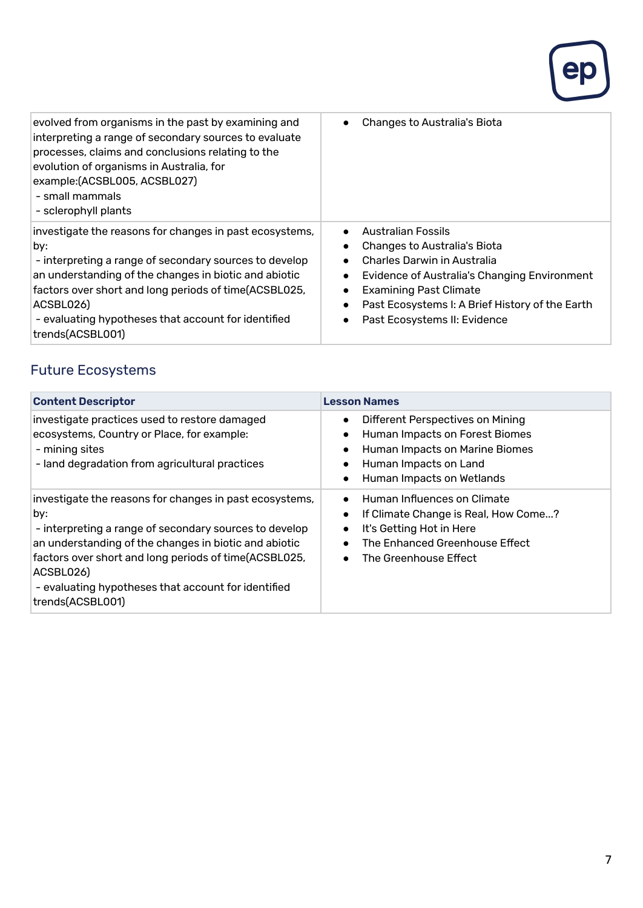

| evolved from organisms in the past by examining and<br>interpreting a range of secondary sources to evaluate<br>processes, claims and conclusions relating to the<br>evolution of organisms in Australia, for<br>example: (ACSBL005, ACSBL027)<br>- small mammals<br>- sclerophyll plants                                          | Changes to Australia's Biota                                                                                                                                                                                                                                                                                                                             |
|------------------------------------------------------------------------------------------------------------------------------------------------------------------------------------------------------------------------------------------------------------------------------------------------------------------------------------|----------------------------------------------------------------------------------------------------------------------------------------------------------------------------------------------------------------------------------------------------------------------------------------------------------------------------------------------------------|
| investigate the reasons for changes in past ecosystems,<br>by:<br>- interpreting a range of secondary sources to develop<br>an understanding of the changes in biotic and abiotic<br>factors over short and long periods of time(ACSBL025,<br>ACSBL026)<br>- evaluating hypotheses that account for identified<br>trends(ACSBL001) | <b>Australian Fossils</b><br>$\bullet$<br>Changes to Australia's Biota<br><b>Charles Darwin in Australia</b><br>$\bullet$<br><b>Evidence of Australia's Changing Environment</b><br>$\bullet$<br><b>Examining Past Climate</b><br>$\bullet$<br>Past Ecosystems I: A Brief History of the Earth<br>$\bullet$<br>Past Ecosystems II: Evidence<br>$\bullet$ |

# Future Ecosystems

| <b>Content Descriptor</b>                                                                                                                                                                                                                                                                                                          | <b>Lesson Names</b>                                                                                                                                                                                                         |
|------------------------------------------------------------------------------------------------------------------------------------------------------------------------------------------------------------------------------------------------------------------------------------------------------------------------------------|-----------------------------------------------------------------------------------------------------------------------------------------------------------------------------------------------------------------------------|
| investigate practices used to restore damaged<br>ecosystems, Country or Place, for example:<br>- mining sites<br>- land degradation from agricultural practices                                                                                                                                                                    | Different Perspectives on Mining<br>$\bullet$<br>Human Impacts on Forest Biomes<br>$\bullet$<br>Human Impacts on Marine Biomes<br>$\bullet$<br>Human Impacts on Land<br>$\bullet$<br>Human Impacts on Wetlands<br>$\bullet$ |
| investigate the reasons for changes in past ecosystems,<br>by:<br>- interpreting a range of secondary sources to develop<br>an understanding of the changes in biotic and abiotic<br>factors over short and long periods of time(ACSBL025,<br>ACSBL026)<br>- evaluating hypotheses that account for identified<br>trends(ACSBL001) | Human Influences on Climate<br>$\bullet$<br>If Climate Change is Real, How Come?<br>$\bullet$<br>It's Getting Hot in Here<br>$\bullet$<br>The Enhanced Greenhouse Effect<br>The Greenhouse Effect<br>$\bullet$              |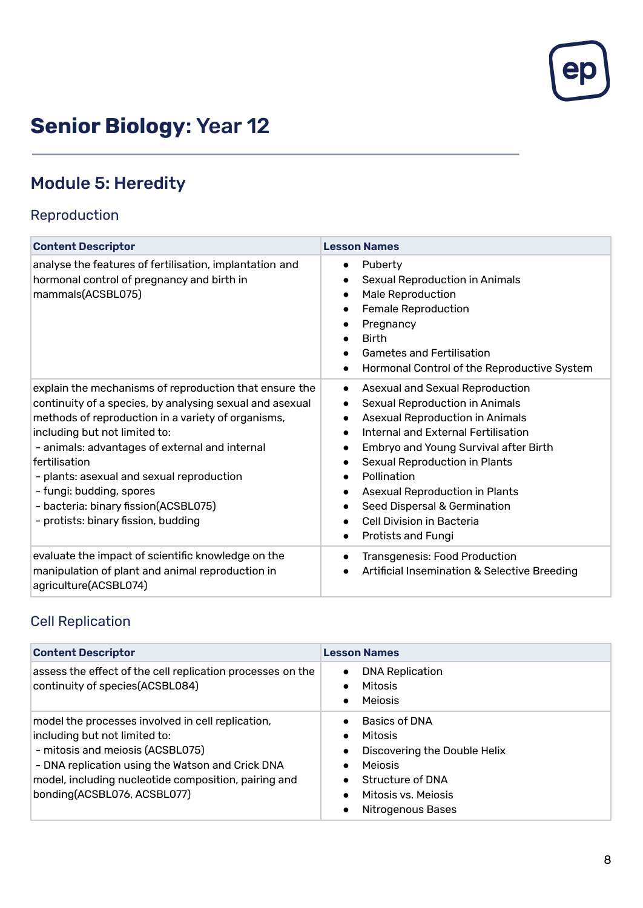

# **Senior Biology**: Year 12

# Module 5: Heredity

# Reproduction

| <b>Content Descriptor</b>                                                                                                                                                                                                                                                                                                                                                                                                            | <b>Lesson Names</b>                                                                                                                                                                                                                                                                                                                                                                                                                                                                    |
|--------------------------------------------------------------------------------------------------------------------------------------------------------------------------------------------------------------------------------------------------------------------------------------------------------------------------------------------------------------------------------------------------------------------------------------|----------------------------------------------------------------------------------------------------------------------------------------------------------------------------------------------------------------------------------------------------------------------------------------------------------------------------------------------------------------------------------------------------------------------------------------------------------------------------------------|
| analyse the features of fertilisation, implantation and<br>hormonal control of pregnancy and birth in<br>mammals(ACSBL075)                                                                                                                                                                                                                                                                                                           | Puberty<br>$\bullet$<br>Sexual Reproduction in Animals<br>$\bullet$<br><b>Male Reproduction</b><br>$\bullet$<br><b>Female Reproduction</b><br>$\bullet$<br>Pregnancy<br><b>Birth</b><br><b>Gametes and Fertilisation</b><br>Hormonal Control of the Reproductive System<br>$\bullet$                                                                                                                                                                                                   |
| explain the mechanisms of reproduction that ensure the<br>continuity of a species, by analysing sexual and asexual<br>methods of reproduction in a variety of organisms,<br>including but not limited to:<br>- animals: advantages of external and internal<br>fertilisation<br>- plants: asexual and sexual reproduction<br>- fungi: budding, spores<br>- bacteria: binary fission(ACSBL075)<br>- protists: binary fission, budding | Asexual and Sexual Reproduction<br>$\bullet$<br><b>Sexual Reproduction in Animals</b><br>$\bullet$<br><b>Asexual Reproduction in Animals</b><br>$\bullet$<br>Internal and External Fertilisation<br>$\bullet$<br>Embryo and Young Survival after Birth<br>Sexual Reproduction in Plants<br>Pollination<br>$\bullet$<br>Asexual Reproduction in Plants<br>Seed Dispersal & Germination<br>$\bullet$<br>Cell Division in Bacteria<br>$\bullet$<br><b>Protists and Fungi</b><br>$\bullet$ |
| evaluate the impact of scientific knowledge on the<br>manipulation of plant and animal reproduction in<br>agriculture(ACSBL074)                                                                                                                                                                                                                                                                                                      | <b>Transgenesis: Food Production</b><br>$\bullet$<br>Artificial Insemination & Selective Breeding                                                                                                                                                                                                                                                                                                                                                                                      |

#### Cell Replication

| <b>Content Descriptor</b>                                                                                                                                                                                                                                         | <b>Lesson Names</b>                                                                                                                                                                      |
|-------------------------------------------------------------------------------------------------------------------------------------------------------------------------------------------------------------------------------------------------------------------|------------------------------------------------------------------------------------------------------------------------------------------------------------------------------------------|
| assess the effect of the cell replication processes on the<br>continuity of species(ACSBL084)                                                                                                                                                                     | <b>DNA Replication</b><br>$\bullet$<br>Mitosis<br><b>Meiosis</b><br>$\bullet$                                                                                                            |
| model the processes involved in cell replication,<br>including but not limited to:<br>- mitosis and meiosis (ACSBL075)<br>- DNA replication using the Watson and Crick DNA<br>model, including nucleotide composition, pairing and<br>bonding(ACSBL076, ACSBL077) | <b>Basics of DNA</b><br>Mitosis<br>$\bullet$<br>Discovering the Double Helix<br>$\bullet$<br><b>Meiosis</b><br>Structure of DNA<br>$\bullet$<br>Mitosis vs. Meiosis<br>Nitrogenous Bases |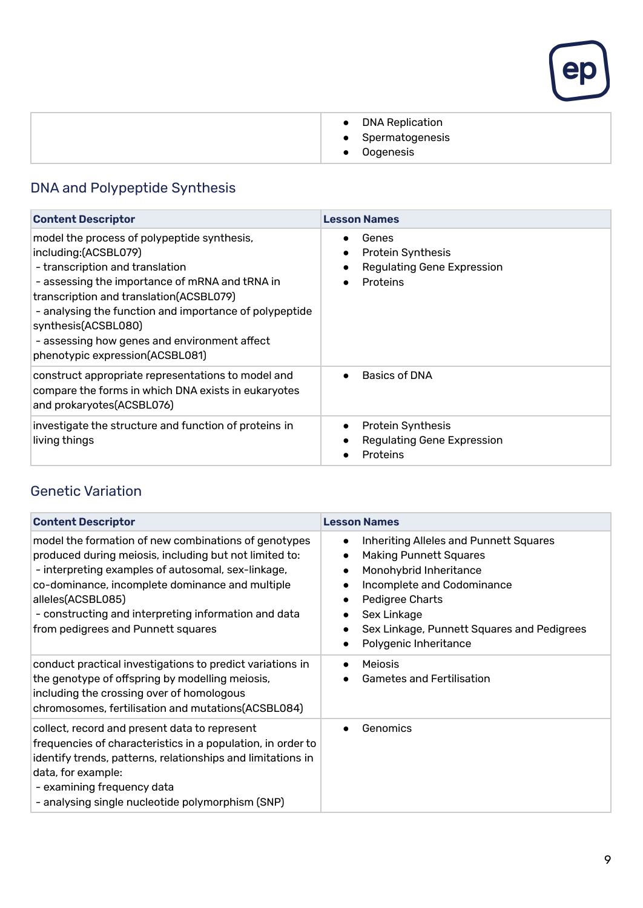

| DNA Replication<br>$\bullet$<br>• Spermatogenesis<br>Oogenesis |  |
|----------------------------------------------------------------|--|

# DNA and Polypeptide Synthesis

| <b>Content Descriptor</b>                                                                                                                                                                                                                                                                                                                                               | <b>Lesson Names</b>                                                                                    |
|-------------------------------------------------------------------------------------------------------------------------------------------------------------------------------------------------------------------------------------------------------------------------------------------------------------------------------------------------------------------------|--------------------------------------------------------------------------------------------------------|
| model the process of polypeptide synthesis,<br>including:(ACSBL079)<br>- transcription and translation<br>- assessing the importance of mRNA and tRNA in<br>transcription and translation(ACSBL079)<br>- analysing the function and importance of polypeptide<br>synthesis(ACSBL080)<br>- assessing how genes and environment affect<br>phenotypic expression(ACSBL081) | Genes<br><b>Protein Synthesis</b><br><b>Regulating Gene Expression</b><br>$\bullet$<br><b>Proteins</b> |
| construct appropriate representations to model and<br>compare the forms in which DNA exists in eukaryotes<br>and prokaryotes(ACSBL076)                                                                                                                                                                                                                                  | <b>Basics of DNA</b>                                                                                   |
| investigate the structure and function of proteins in<br>living things                                                                                                                                                                                                                                                                                                  | <b>Protein Synthesis</b><br><b>Regulating Gene Expression</b><br>Proteins                              |

#### Genetic Variation

| <b>Content Descriptor</b>                                                                                                                                                                                                                                                                                                                  | <b>Lesson Names</b>                                                                                                                                                                                                                                                                                      |
|--------------------------------------------------------------------------------------------------------------------------------------------------------------------------------------------------------------------------------------------------------------------------------------------------------------------------------------------|----------------------------------------------------------------------------------------------------------------------------------------------------------------------------------------------------------------------------------------------------------------------------------------------------------|
| model the formation of new combinations of genotypes<br>produced during meiosis, including but not limited to:<br>- interpreting examples of autosomal, sex-linkage,<br>co-dominance, incomplete dominance and multiple<br>alleles(ACSBL085)<br>- constructing and interpreting information and data<br>from pedigrees and Punnett squares | <b>Inheriting Alleles and Punnett Squares</b><br>$\bullet$<br><b>Making Punnett Squares</b><br>$\bullet$<br>Monohybrid Inheritance<br>$\bullet$<br>Incomplete and Codominance<br>Pedigree Charts<br>Sex Linkage<br>Sex Linkage, Punnett Squares and Pedigrees<br>٠<br>Polygenic Inheritance<br>$\bullet$ |
| conduct practical investigations to predict variations in<br>the genotype of offspring by modelling meiosis,<br>including the crossing over of homologous<br>chromosomes, fertilisation and mutations(ACSBL084)                                                                                                                            | <b>Meiosis</b><br><b>Gametes and Fertilisation</b>                                                                                                                                                                                                                                                       |
| collect, record and present data to represent<br>frequencies of characteristics in a population, in order to<br>identify trends, patterns, relationships and limitations in<br>data, for example:<br>- examining frequency data<br>- analysing single nucleotide polymorphism (SNP)                                                        | Genomics                                                                                                                                                                                                                                                                                                 |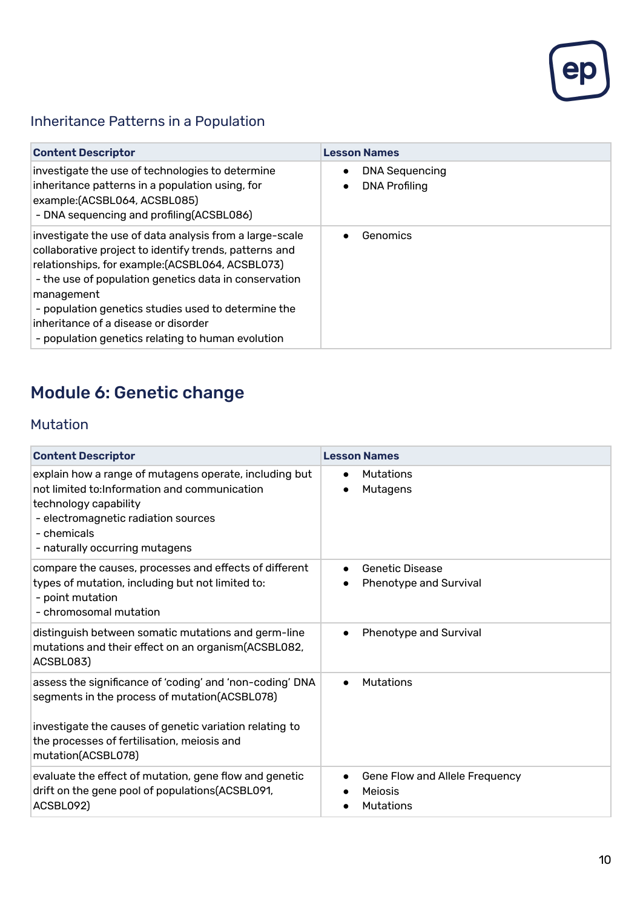

# Inheritance Patterns in a Population

| <b>Content Descriptor</b>                                                                                                                                                                                                                                                                                                                                                                        | <b>Lesson Names</b>                                        |
|--------------------------------------------------------------------------------------------------------------------------------------------------------------------------------------------------------------------------------------------------------------------------------------------------------------------------------------------------------------------------------------------------|------------------------------------------------------------|
| investigate the use of technologies to determine<br>inheritance patterns in a population using, for<br>example:(ACSBL064, ACSBL085)<br>- DNA sequencing and profiling (ACSBL086)                                                                                                                                                                                                                 | <b>DNA Sequencing</b><br>$\bullet$<br><b>DNA Profiling</b> |
| investigate the use of data analysis from a large-scale<br>collaborative project to identify trends, patterns and<br>relationships, for example: (ACSBL064, ACSBL073)<br>- the use of population genetics data in conservation<br>management<br>- population genetics studies used to determine the<br>inheritance of a disease or disorder<br>- population genetics relating to human evolution | Genomics                                                   |

# Module 6: Genetic change

#### Mutation

| <b>Content Descriptor</b>                                                                                                                                                                                                                 | <b>Lesson Names</b>                                                        |
|-------------------------------------------------------------------------------------------------------------------------------------------------------------------------------------------------------------------------------------------|----------------------------------------------------------------------------|
| explain how a range of mutagens operate, including but<br>not limited to: Information and communication<br>technology capability<br>- electromagnetic radiation sources<br>- chemicals<br>- naturally occurring mutagens                  | Mutations<br>Mutagens                                                      |
| compare the causes, processes and effects of different<br>types of mutation, including but not limited to:<br>- point mutation<br>- chromosomal mutation                                                                                  | Genetic Disease<br>$\bullet$<br>Phenotype and Survival                     |
| distinguish between somatic mutations and germ-line<br>mutations and their effect on an organism(ACSBL082,<br>ACSBL083)                                                                                                                   | <b>Phenotype and Survival</b><br>$\bullet$                                 |
| assess the significance of 'coding' and 'non-coding' DNA<br>segments in the process of mutation(ACSBL078)<br>investigate the causes of genetic variation relating to<br>the processes of fertilisation, meiosis and<br>mutation(ACSBL078) | <b>Mutations</b>                                                           |
| evaluate the effect of mutation, gene flow and genetic<br>drift on the gene pool of populations(ACSBL091,<br>ACSBL092)                                                                                                                    | Gene Flow and Allele Frequency<br>$\bullet$<br>Meiosis<br><b>Mutations</b> |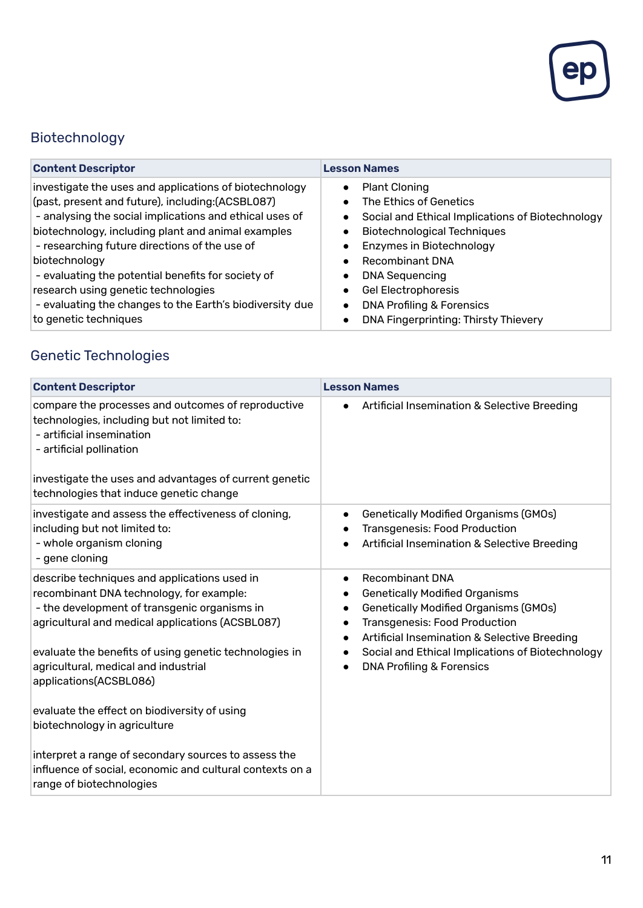

# Biotechnology

| <b>Content Descriptor</b>                                | <b>Lesson Names</b>                                           |
|----------------------------------------------------------|---------------------------------------------------------------|
| investigate the uses and applications of biotechnology   | <b>Plant Cloning</b><br>$\bullet$                             |
| (past, present and future), including:(ACSBL087)         | The Ethics of Genetics<br>$\bullet$                           |
| - analysing the social implications and ethical uses of  | Social and Ethical Implications of Biotechnology<br>$\bullet$ |
| biotechnology, including plant and animal examples       | <b>Biotechnological Techniques</b><br>$\bullet$               |
| - researching future directions of the use of            | Enzymes in Biotechnology<br>$\bullet$                         |
| biotechnology                                            | <b>Recombinant DNA</b><br>$\bullet$                           |
| - evaluating the potential benefits for society of       | <b>DNA Sequencing</b><br>$\bullet$                            |
| research using genetic technologies                      | Gel Electrophoresis<br>$\bullet$                              |
| - evaluating the changes to the Earth's biodiversity due | <b>DNA Profiling &amp; Forensics</b><br>$\bullet$             |
| to genetic techniques                                    | DNA Fingerprinting: Thirsty Thievery<br>$\bullet$             |

# Genetic Technologies

| <b>Content Descriptor</b>                                                                                                                                                                                                                                                                                                                                                                                | <b>Lesson Names</b>                                                                                                                                                                                                                                                                                                                        |
|----------------------------------------------------------------------------------------------------------------------------------------------------------------------------------------------------------------------------------------------------------------------------------------------------------------------------------------------------------------------------------------------------------|--------------------------------------------------------------------------------------------------------------------------------------------------------------------------------------------------------------------------------------------------------------------------------------------------------------------------------------------|
| compare the processes and outcomes of reproductive<br>technologies, including but not limited to:<br>- artificial insemination<br>- artificial pollination<br>investigate the uses and advantages of current genetic<br>technologies that induce genetic change                                                                                                                                          | Artificial Insemination & Selective Breeding<br>$\bullet$                                                                                                                                                                                                                                                                                  |
| investigate and assess the effectiveness of cloning,<br>including but not limited to:<br>- whole organism cloning<br>- gene cloning                                                                                                                                                                                                                                                                      | <b>Genetically Modified Organisms (GMOs)</b><br>$\bullet$<br><b>Transgenesis: Food Production</b><br>Artificial Insemination & Selective Breeding                                                                                                                                                                                          |
| describe techniques and applications used in<br>recombinant DNA technology, for example:<br>- the development of transgenic organisms in<br>agricultural and medical applications (ACSBL087)<br>evaluate the benefits of using genetic technologies in<br>agricultural, medical and industrial<br>applications(ACSBL086)<br>evaluate the effect on biodiversity of using<br>biotechnology in agriculture | <b>Recombinant DNA</b><br>$\bullet$<br><b>Genetically Modified Organisms</b><br><b>Genetically Modified Organisms (GMOs)</b><br><b>Transgenesis: Food Production</b><br>$\bullet$<br>Artificial Insemination & Selective Breeding<br>$\bullet$<br>Social and Ethical Implications of Biotechnology<br><b>DNA Profiling &amp; Forensics</b> |
| interpret a range of secondary sources to assess the<br>influence of social, economic and cultural contexts on a<br>range of biotechnologies                                                                                                                                                                                                                                                             |                                                                                                                                                                                                                                                                                                                                            |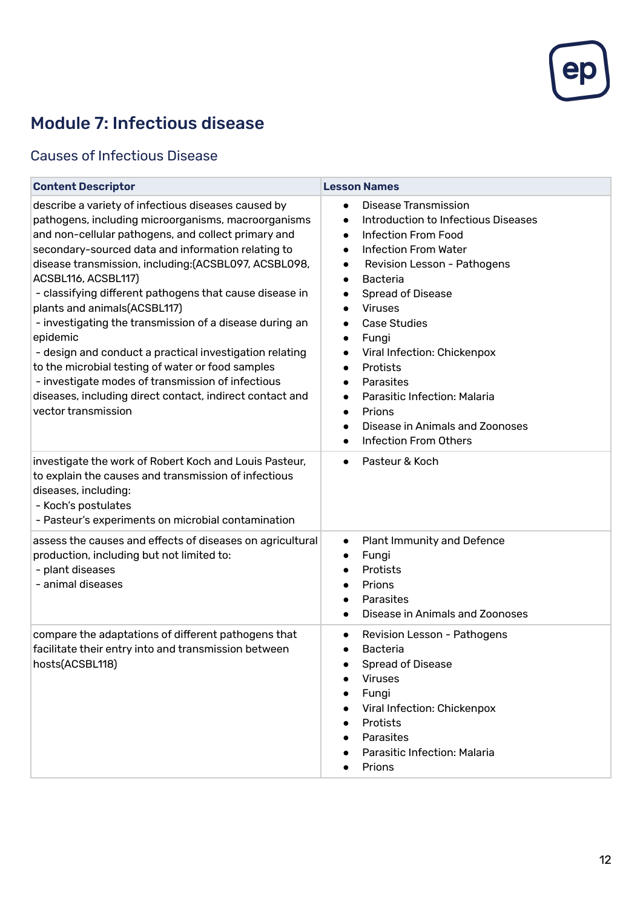

# Module 7: Infectious disease

#### Causes of Infectious Disease

| <b>Content Descriptor</b>                                                                                                                                                                                                                                                                                                                                                                                                                                                                                                                                                                                                                                                                                                         | <b>Lesson Names</b>                                                                                                                                                                                                                                                                                                                                                                                                                                                                                                                                                                                                  |
|-----------------------------------------------------------------------------------------------------------------------------------------------------------------------------------------------------------------------------------------------------------------------------------------------------------------------------------------------------------------------------------------------------------------------------------------------------------------------------------------------------------------------------------------------------------------------------------------------------------------------------------------------------------------------------------------------------------------------------------|----------------------------------------------------------------------------------------------------------------------------------------------------------------------------------------------------------------------------------------------------------------------------------------------------------------------------------------------------------------------------------------------------------------------------------------------------------------------------------------------------------------------------------------------------------------------------------------------------------------------|
| describe a variety of infectious diseases caused by<br>pathogens, including microorganisms, macroorganisms<br>and non-cellular pathogens, and collect primary and<br>secondary-sourced data and information relating to<br>disease transmission, including: (ACSBL097, ACSBL098,<br>ACSBL116, ACSBL117)<br>- classifying different pathogens that cause disease in<br>plants and animals(ACSBL117)<br>- investigating the transmission of a disease during an<br>epidemic<br>- design and conduct a practical investigation relating<br>to the microbial testing of water or food samples<br>- investigate modes of transmission of infectious<br>diseases, including direct contact, indirect contact and<br>vector transmission | <b>Disease Transmission</b><br>$\bullet$<br><b>Introduction to Infectious Diseases</b><br>$\bullet$<br><b>Infection From Food</b><br>$\bullet$<br><b>Infection From Water</b><br>$\bullet$<br>Revision Lesson - Pathogens<br>$\bullet$<br><b>Bacteria</b><br>$\bullet$<br><b>Spread of Disease</b><br><b>Viruses</b><br>$\bullet$<br><b>Case Studies</b><br>Fungi<br>$\bullet$<br>Viral Infection: Chickenpox<br>$\bullet$<br>Protists<br>$\bullet$<br>Parasites<br>$\bullet$<br>Parasitic Infection: Malaria<br>$\bullet$<br>Prions<br>$\bullet$<br>Disease in Animals and Zoonoses<br><b>Infection From Others</b> |
| investigate the work of Robert Koch and Louis Pasteur,<br>to explain the causes and transmission of infectious<br>diseases, including:<br>- Koch's postulates<br>- Pasteur's experiments on microbial contamination                                                                                                                                                                                                                                                                                                                                                                                                                                                                                                               | Pasteur & Koch<br>$\bullet$                                                                                                                                                                                                                                                                                                                                                                                                                                                                                                                                                                                          |
| assess the causes and effects of diseases on agricultural<br>production, including but not limited to:<br>- plant diseases<br>- animal diseases                                                                                                                                                                                                                                                                                                                                                                                                                                                                                                                                                                                   | <b>Plant Immunity and Defence</b><br>$\bullet$<br>Fungi<br>Protists<br>$\bullet$<br>Prions<br>Parasites<br>Disease in Animals and Zoonoses                                                                                                                                                                                                                                                                                                                                                                                                                                                                           |
| compare the adaptations of different pathogens that<br>facilitate their entry into and transmission between<br>hosts(ACSBL118)                                                                                                                                                                                                                                                                                                                                                                                                                                                                                                                                                                                                    | Revision Lesson - Pathogens<br>$\bullet$<br><b>Bacteria</b><br>$\bullet$<br><b>Spread of Disease</b><br><b>Viruses</b><br>Fungi<br>Viral Infection: Chickenpox<br>Protists<br>Parasites<br>Parasitic Infection: Malaria<br>Prions                                                                                                                                                                                                                                                                                                                                                                                    |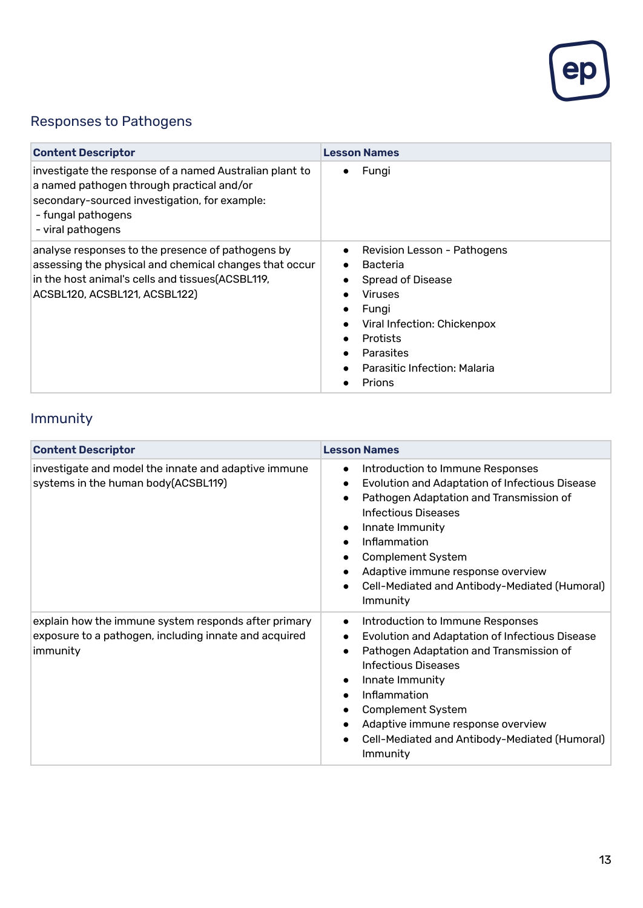

# Responses to Pathogens

| <b>Content Descriptor</b>                                                                                                                                                                         | <b>Lesson Names</b>                                                                                                                                                                                                         |
|---------------------------------------------------------------------------------------------------------------------------------------------------------------------------------------------------|-----------------------------------------------------------------------------------------------------------------------------------------------------------------------------------------------------------------------------|
| investigate the response of a named Australian plant to<br>a named pathogen through practical and/or<br>secondary-sourced investigation, for example:<br>- fungal pathogens<br>- viral pathogens  | Fungi                                                                                                                                                                                                                       |
| analyse responses to the presence of pathogens by<br>assessing the physical and chemical changes that occur<br>in the host animal's cells and tissues (ACSBL119,<br>ACSBL120, ACSBL121, ACSBL122) | Revision Lesson - Pathogens<br>$\bullet$<br><b>Bacteria</b><br><b>Spread of Disease</b><br><b>Viruses</b><br>Fungi<br>Viral Infection: Chickenpox<br><b>Protists</b><br>Parasites<br>Parasitic Infection: Malaria<br>Prions |

# Immunity

| <b>Content Descriptor</b>                                                                                                 | <b>Lesson Names</b>                                                                                                                                                                                                                                                                                                                                                 |
|---------------------------------------------------------------------------------------------------------------------------|---------------------------------------------------------------------------------------------------------------------------------------------------------------------------------------------------------------------------------------------------------------------------------------------------------------------------------------------------------------------|
| investigate and model the innate and adaptive immune<br>systems in the human body (ACSBL119)                              | Introduction to Immune Responses<br>$\bullet$<br>Evolution and Adaptation of Infectious Disease<br>Pathogen Adaptation and Transmission of<br>$\bullet$<br><b>Infectious Diseases</b><br>Innate Immunity<br>$\bullet$<br>Inflammation<br><b>Complement System</b><br>Adaptive immune response overview<br>Cell-Mediated and Antibody-Mediated (Humoral)<br>Immunity |
| explain how the immune system responds after primary<br>exposure to a pathogen, including innate and acquired<br>immunity | Introduction to Immune Responses<br>$\bullet$<br>Evolution and Adaptation of Infectious Disease<br>Pathogen Adaptation and Transmission of<br>Infectious Diseases<br>Innate Immunity<br>Inflammation<br>$\bullet$<br><b>Complement System</b><br>Adaptive immune response overview<br>Cell-Mediated and Antibody-Mediated (Humoral)<br>Immunity                     |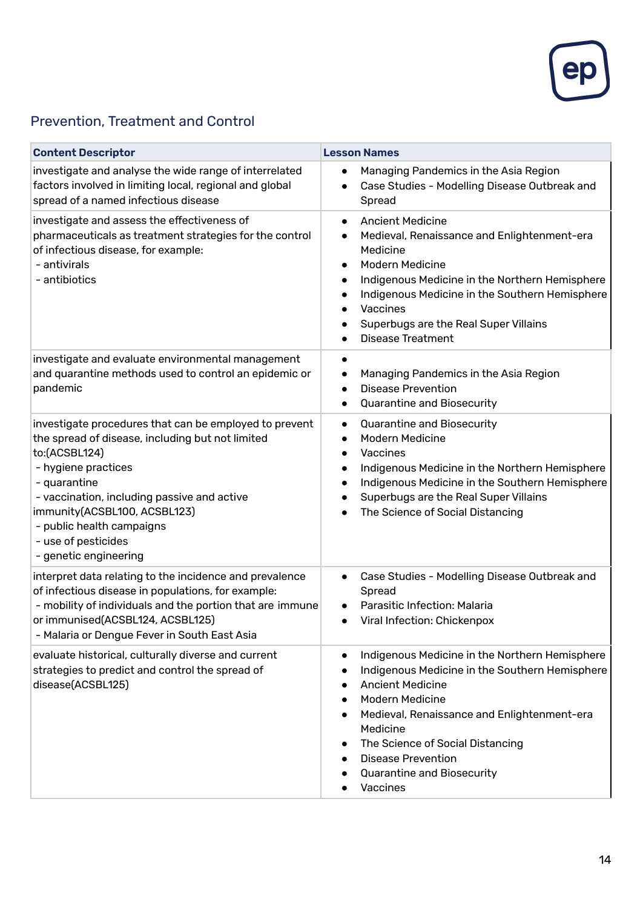

#### Prevention, Treatment and Control

| <b>Content Descriptor</b>                                                                                                                                                                                                                                                                                                      | <b>Lesson Names</b>                                                                                                                                                                                                                                                                                                                                                |
|--------------------------------------------------------------------------------------------------------------------------------------------------------------------------------------------------------------------------------------------------------------------------------------------------------------------------------|--------------------------------------------------------------------------------------------------------------------------------------------------------------------------------------------------------------------------------------------------------------------------------------------------------------------------------------------------------------------|
| investigate and analyse the wide range of interrelated<br>factors involved in limiting local, regional and global<br>spread of a named infectious disease                                                                                                                                                                      | Managing Pandemics in the Asia Region<br>$\bullet$<br>Case Studies - Modelling Disease Outbreak and<br>$\bullet$<br>Spread                                                                                                                                                                                                                                         |
| investigate and assess the effectiveness of<br>pharmaceuticals as treatment strategies for the control<br>of infectious disease, for example:<br>- antivirals<br>- antibiotics                                                                                                                                                 | <b>Ancient Medicine</b><br>$\bullet$<br>Medieval, Renaissance and Enlightenment-era<br>$\bullet$<br>Medicine<br><b>Modern Medicine</b><br>$\bullet$<br>Indigenous Medicine in the Northern Hemisphere<br>$\bullet$<br>Indigenous Medicine in the Southern Hemisphere<br>$\bullet$<br>Vaccines<br>Superbugs are the Real Super Villains<br><b>Disease Treatment</b> |
| investigate and evaluate environmental management<br>and quarantine methods used to control an epidemic or<br>pandemic                                                                                                                                                                                                         | Managing Pandemics in the Asia Region<br><b>Disease Prevention</b><br>$\bullet$<br><b>Quarantine and Biosecurity</b><br>٠                                                                                                                                                                                                                                          |
| investigate procedures that can be employed to prevent<br>the spread of disease, including but not limited<br>to:(ACSBL124)<br>- hygiene practices<br>- quarantine<br>- vaccination, including passive and active<br>immunity(ACSBL100, ACSBL123)<br>- public health campaigns<br>- use of pesticides<br>- genetic engineering | <b>Quarantine and Biosecurity</b><br>$\bullet$<br><b>Modern Medicine</b><br>$\bullet$<br>Vaccines<br>Indigenous Medicine in the Northern Hemisphere<br>$\bullet$<br>Indigenous Medicine in the Southern Hemisphere<br>$\bullet$<br>Superbugs are the Real Super Villains<br>The Science of Social Distancing<br>$\bullet$                                          |
| interpret data relating to the incidence and prevalence<br>of infectious disease in populations, for example:<br>- mobility of individuals and the portion that are immune<br>or immunised(ACSBL124, ACSBL125)<br>- Malaria or Dengue Fever in South East Asia                                                                 | Case Studies - Modelling Disease Outbreak and<br>$\bullet$<br>Spread<br>Parasitic Infection: Malaria<br>Viral Infection: Chickenpox<br>$\bullet$                                                                                                                                                                                                                   |
| evaluate historical, culturally diverse and current<br>strategies to predict and control the spread of<br>disease(ACSBL125)                                                                                                                                                                                                    | Indigenous Medicine in the Northern Hemisphere<br>$\bullet$<br>Indigenous Medicine in the Southern Hemisphere<br><b>Ancient Medicine</b><br><b>Modern Medicine</b><br>Medieval, Renaissance and Enlightenment-era<br>$\bullet$<br>Medicine<br>The Science of Social Distancing<br><b>Disease Prevention</b><br><b>Quarantine and Biosecurity</b><br>Vaccines       |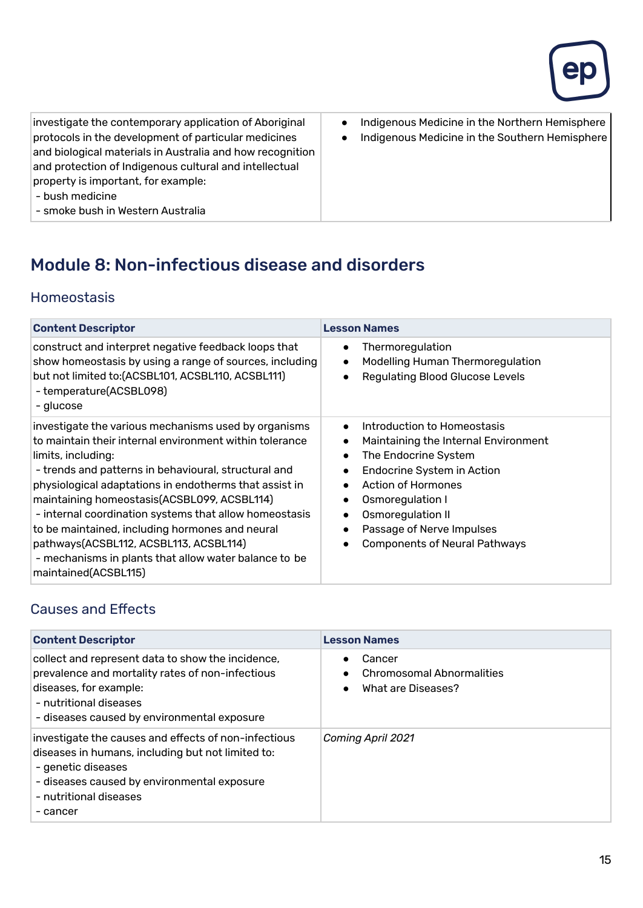

investigate the contemporary application of Aboriginal protocols in the development of particular medicines and biological materials in Australia and how recognition and protection of Indigenous cultural and intellectual property is important, for example:

- Indigenous Medicine in the Northern Hemisphere
- Indigenous Medicine in the Southern Hemisphere

- bush medicine
- smoke bush in Western Australia

# Module 8: Non-infectious disease and disorders

#### Homeostasis

| <b>Content Descriptor</b>                                                                                                                                                                                                                                                                                                                                                                                                                                                                                                                      | <b>Lesson Names</b>                                                                                                                                                                                                                                                                                                           |
|------------------------------------------------------------------------------------------------------------------------------------------------------------------------------------------------------------------------------------------------------------------------------------------------------------------------------------------------------------------------------------------------------------------------------------------------------------------------------------------------------------------------------------------------|-------------------------------------------------------------------------------------------------------------------------------------------------------------------------------------------------------------------------------------------------------------------------------------------------------------------------------|
| construct and interpret negative feedback loops that<br>show homeostasis by using a range of sources, including<br>but not limited to: (ACSBL101, ACSBL110, ACSBL111)<br>- temperature(ACSBL098)<br>- glucose                                                                                                                                                                                                                                                                                                                                  | Thermoregulation<br>$\bullet$<br>Modelling Human Thermoregulation<br><b>Regulating Blood Glucose Levels</b><br>$\bullet$                                                                                                                                                                                                      |
| investigate the various mechanisms used by organisms<br>to maintain their internal environment within tolerance<br>limits, including:<br>- trends and patterns in behavioural, structural and<br>physiological adaptations in endotherms that assist in<br>maintaining homeostasis(ACSBL099, ACSBL114)<br>- internal coordination systems that allow homeostasis<br>to be maintained, including hormones and neural<br>pathways(ACSBL112, ACSBL113, ACSBL114)<br>- mechanisms in plants that allow water balance to be<br>maintained(ACSBL115) | Introduction to Homeostasis<br>$\bullet$<br>Maintaining the Internal Environment<br>$\bullet$<br>The Endocrine System<br>$\bullet$<br>Endocrine System in Action<br><b>Action of Hormones</b><br>Osmoregulation I<br>$\bullet$<br>Osmoregulation II<br>٠<br>Passage of Nerve Impulses<br><b>Components of Neural Pathways</b> |

#### Causes and Effects

| <b>Content Descriptor</b>                                                                                                                                                                                            | <b>Lesson Names</b>                                              |
|----------------------------------------------------------------------------------------------------------------------------------------------------------------------------------------------------------------------|------------------------------------------------------------------|
| collect and represent data to show the incidence,<br>prevalence and mortality rates of non-infectious<br>diseases, for example:<br>- nutritional diseases<br>- diseases caused by environmental exposure             | Cancer<br><b>Chromosomal Abnormalities</b><br>What are Diseases? |
| investigate the causes and effects of non-infectious<br>diseases in humans, including but not limited to:<br>- genetic diseases<br>- diseases caused by environmental exposure<br>- nutritional diseases<br>- cancer | Coming April 2021                                                |